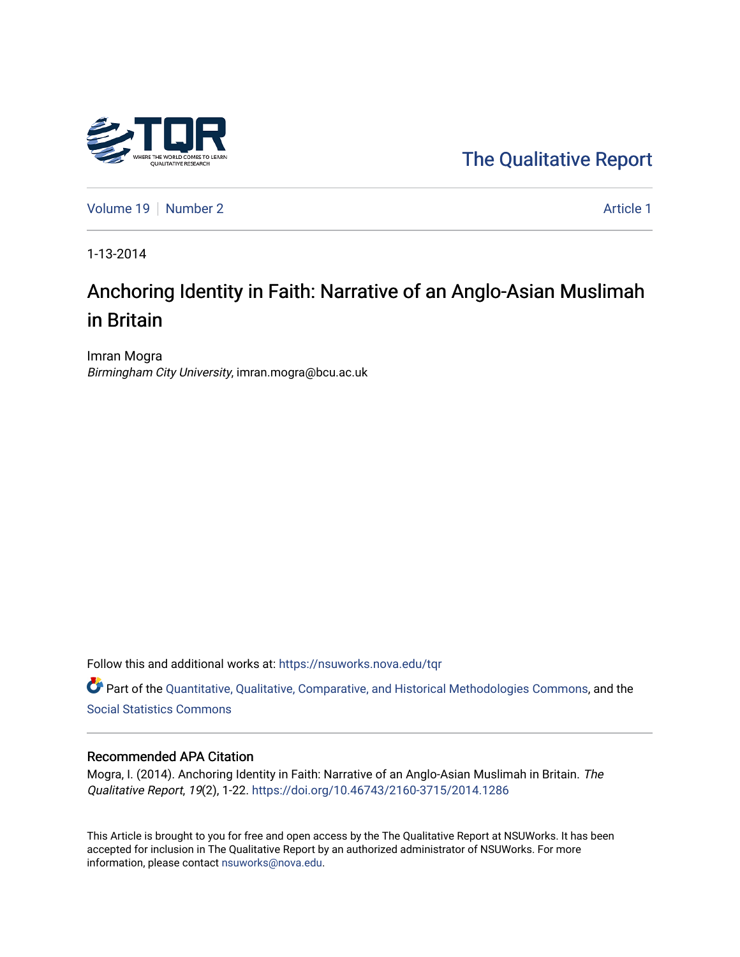

[The Qualitative Report](https://nsuworks.nova.edu/tqr) 

[Volume 19](https://nsuworks.nova.edu/tqr/vol19) [Number 2](https://nsuworks.nova.edu/tqr/vol19/iss2) Article 1

1-13-2014

# Anchoring Identity in Faith: Narrative of an Anglo-Asian Muslimah in Britain

Imran Mogra Birmingham City University, imran.mogra@bcu.ac.uk

Follow this and additional works at: [https://nsuworks.nova.edu/tqr](https://nsuworks.nova.edu/tqr?utm_source=nsuworks.nova.edu%2Ftqr%2Fvol19%2Fiss2%2F1&utm_medium=PDF&utm_campaign=PDFCoverPages) 

Part of the [Quantitative, Qualitative, Comparative, and Historical Methodologies Commons,](http://network.bepress.com/hgg/discipline/423?utm_source=nsuworks.nova.edu%2Ftqr%2Fvol19%2Fiss2%2F1&utm_medium=PDF&utm_campaign=PDFCoverPages) and the [Social Statistics Commons](http://network.bepress.com/hgg/discipline/1275?utm_source=nsuworks.nova.edu%2Ftqr%2Fvol19%2Fiss2%2F1&utm_medium=PDF&utm_campaign=PDFCoverPages) 

### Recommended APA Citation

Mogra, I. (2014). Anchoring Identity in Faith: Narrative of an Anglo-Asian Muslimah in Britain. The Qualitative Report, 19(2), 1-22. <https://doi.org/10.46743/2160-3715/2014.1286>

This Article is brought to you for free and open access by the The Qualitative Report at NSUWorks. It has been accepted for inclusion in The Qualitative Report by an authorized administrator of NSUWorks. For more information, please contact [nsuworks@nova.edu.](mailto:nsuworks@nova.edu)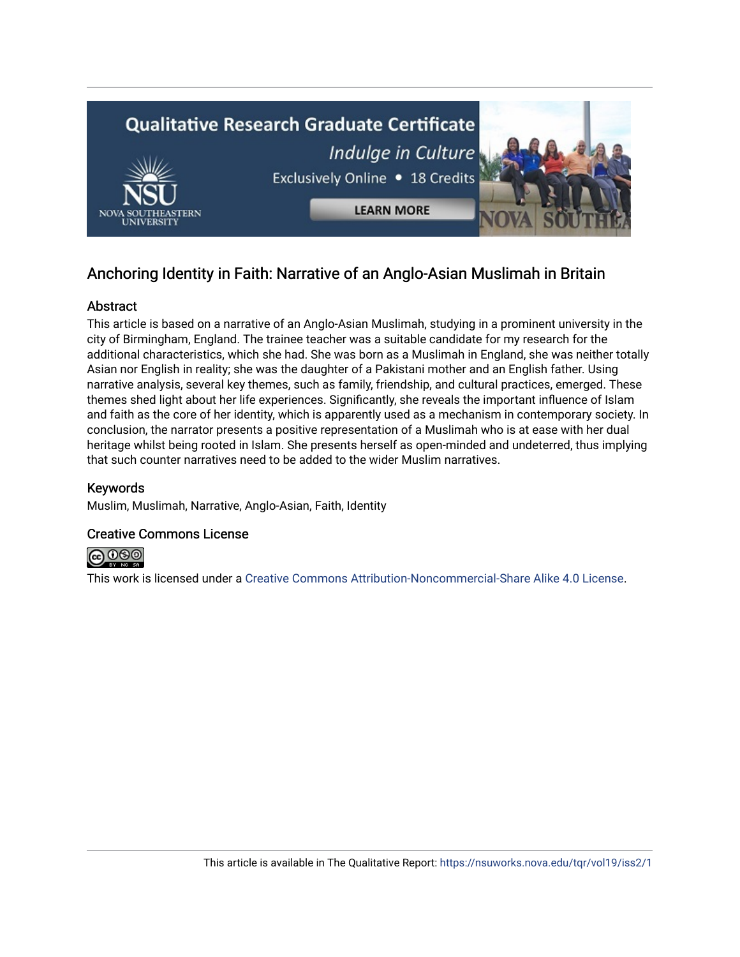

## Anchoring Identity in Faith: Narrative of an Anglo-Asian Muslimah in Britain

## Abstract

This article is based on a narrative of an Anglo-Asian Muslimah, studying in a prominent university in the city of Birmingham, England. The trainee teacher was a suitable candidate for my research for the additional characteristics, which she had. She was born as a Muslimah in England, she was neither totally Asian nor English in reality; she was the daughter of a Pakistani mother and an English father. Using narrative analysis, several key themes, such as family, friendship, and cultural practices, emerged. These themes shed light about her life experiences. Significantly, she reveals the important influence of Islam and faith as the core of her identity, which is apparently used as a mechanism in contemporary society. In conclusion, the narrator presents a positive representation of a Muslimah who is at ease with her dual heritage whilst being rooted in Islam. She presents herself as open-minded and undeterred, thus implying that such counter narratives need to be added to the wider Muslim narratives.

## Keywords

Muslim, Muslimah, Narrative, Anglo-Asian, Faith, Identity

## Creative Commons License



This work is licensed under a [Creative Commons Attribution-Noncommercial-Share Alike 4.0 License](https://creativecommons.org/licenses/by-nc-sa/4.0/).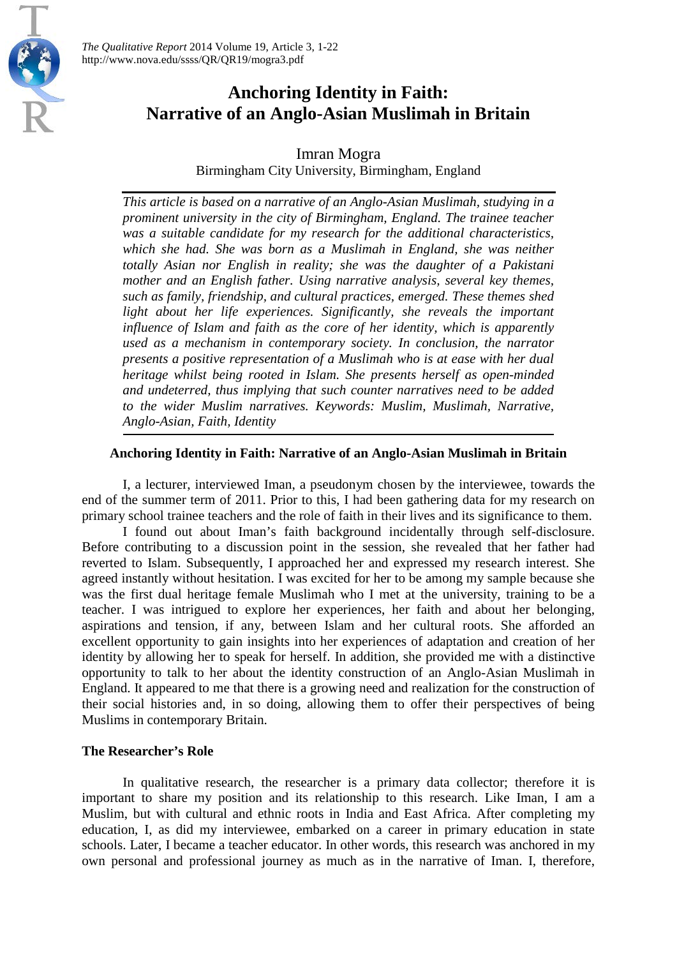

*The Qualitative Report* 2014 Volume 19, Article 3, 1-22 http://www.nova.edu/ssss/QR/QR19/mogra3.pdf

## **Anchoring Identity in Faith: Narrative of an Anglo-Asian Muslimah in Britain**

Imran Mogra Birmingham City University, Birmingham, England

*This article is based on a narrative of an Anglo-Asian Muslimah, studying in a prominent university in the city of Birmingham, England. The trainee teacher was a suitable candidate for my research for the additional characteristics, which she had. She was born as a Muslimah in England, she was neither totally Asian nor English in reality; she was the daughter of a Pakistani mother and an English father. Using narrative analysis, several key themes, such as family, friendship, and cultural practices, emerged. These themes shed light about her life experiences. Significantly, she reveals the important influence of Islam and faith as the core of her identity, which is apparently used as a mechanism in contemporary society. In conclusion, the narrator presents a positive representation of a Muslimah who is at ease with her dual heritage whilst being rooted in Islam. She presents herself as open-minded and undeterred, thus implying that such counter narratives need to be added to the wider Muslim narratives. Keywords: Muslim, Muslimah, Narrative, Anglo-Asian, Faith, Identity* 

## **Anchoring Identity in Faith: Narrative of an Anglo-Asian Muslimah in Britain**

I, a lecturer, interviewed Iman, a pseudonym chosen by the interviewee, towards the end of the summer term of 2011. Prior to this, I had been gathering data for my research on primary school trainee teachers and the role of faith in their lives and its significance to them.

I found out about Iman's faith background incidentally through self-disclosure. Before contributing to a discussion point in the session, she revealed that her father had reverted to Islam. Subsequently, I approached her and expressed my research interest. She agreed instantly without hesitation. I was excited for her to be among my sample because she was the first dual heritage female Muslimah who I met at the university, training to be a teacher. I was intrigued to explore her experiences, her faith and about her belonging, aspirations and tension, if any, between Islam and her cultural roots. She afforded an excellent opportunity to gain insights into her experiences of adaptation and creation of her identity by allowing her to speak for herself. In addition, she provided me with a distinctive opportunity to talk to her about the identity construction of an Anglo-Asian Muslimah in England. It appeared to me that there is a growing need and realization for the construction of their social histories and, in so doing, allowing them to offer their perspectives of being Muslims in contemporary Britain.

## **The Researcher's Role**

In qualitative research, the researcher is a primary data collector; therefore it is important to share my position and its relationship to this research. Like Iman, I am a Muslim, but with cultural and ethnic roots in India and East Africa. After completing my education, I, as did my interviewee, embarked on a career in primary education in state schools. Later, I became a teacher educator. In other words, this research was anchored in my own personal and professional journey as much as in the narrative of Iman. I, therefore,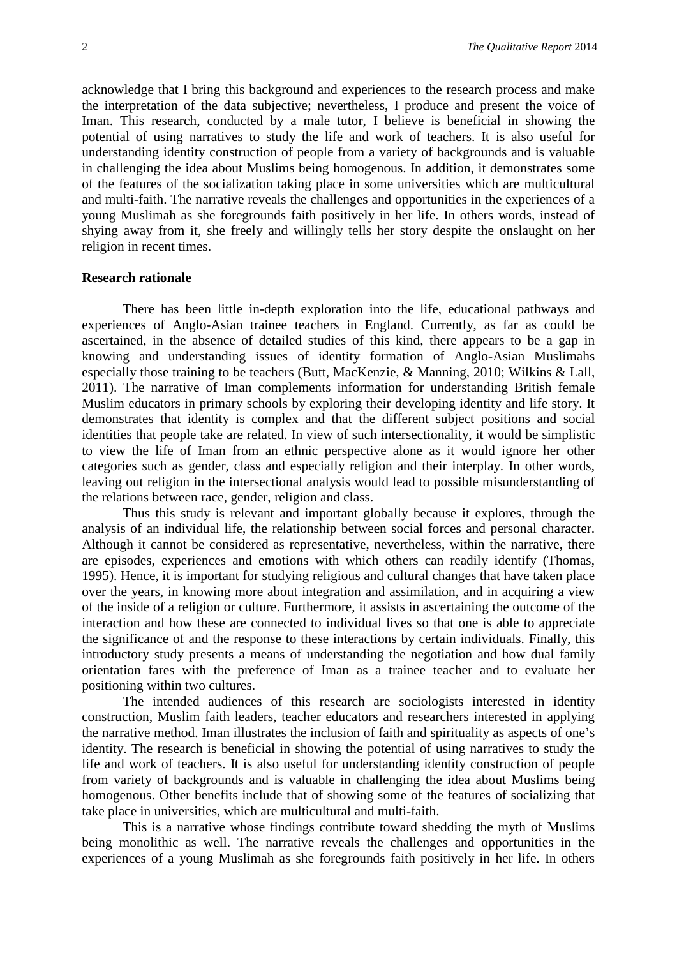acknowledge that I bring this background and experiences to the research process and make the interpretation of the data subjective; nevertheless, I produce and present the voice of Iman. This research, conducted by a male tutor. I believe is beneficial in showing the potential of using narratives to study the life and work of teachers. It is also useful for understanding identity construction of people from a variety of backgrounds and is valuable in challenging the idea about Muslims being homogenous. In addition, it demonstrates some of the features of the socialization taking place in some universities which are multicultural and multi-faith. The narrative reveals the challenges and opportunities in the experiences of a young Muslimah as she foregrounds faith positively in her life. In others words, instead of shying away from it, she freely and willingly tells her story despite the onslaught on her religion in recent times.

#### **Research rationale**

There has been little in-depth exploration into the life, educational pathways and experiences of Anglo-Asian trainee teachers in England. Currently, as far as could be ascertained, in the absence of detailed studies of this kind, there appears to be a gap in knowing and understanding issues of identity formation of Anglo-Asian Muslimahs especially those training to be teachers (Butt, MacKenzie, & Manning, 2010; Wilkins & Lall, 2011). The narrative of Iman complements information for understanding British female Muslim educators in primary schools by exploring their developing identity and life story. It demonstrates that identity is complex and that the different subject positions and social identities that people take are related. In view of such intersectionality, it would be simplistic to view the life of Iman from an ethnic perspective alone as it would ignore her other categories such as gender, class and especially religion and their interplay. In other words, leaving out religion in the intersectional analysis would lead to possible misunderstanding of the relations between race, gender, religion and class.

Thus this study is relevant and important globally because it explores, through the analysis of an individual life, the relationship between social forces and personal character. Although it cannot be considered as representative, nevertheless, within the narrative, there are episodes, experiences and emotions with which others can readily identify (Thomas, 1995). Hence, it is important for studying religious and cultural changes that have taken place over the years, in knowing more about integration and assimilation, and in acquiring a view of the inside of a religion or culture. Furthermore, it assists in ascertaining the outcome of the interaction and how these are connected to individual lives so that one is able to appreciate the significance of and the response to these interactions by certain individuals. Finally, this introductory study presents a means of understanding the negotiation and how dual family orientation fares with the preference of Iman as a trainee teacher and to evaluate her positioning within two cultures.

The intended audiences of this research are sociologists interested in identity construction, Muslim faith leaders, teacher educators and researchers interested in applying the narrative method. Iman illustrates the inclusion of faith and spirituality as aspects of one's identity. The research is beneficial in showing the potential of using narratives to study the life and work of teachers. It is also useful for understanding identity construction of people from variety of backgrounds and is valuable in challenging the idea about Muslims being homogenous. Other benefits include that of showing some of the features of socializing that take place in universities, which are multicultural and multi-faith.

This is a narrative whose findings contribute toward shedding the myth of Muslims being monolithic as well. The narrative reveals the challenges and opportunities in the experiences of a young Muslimah as she foregrounds faith positively in her life. In others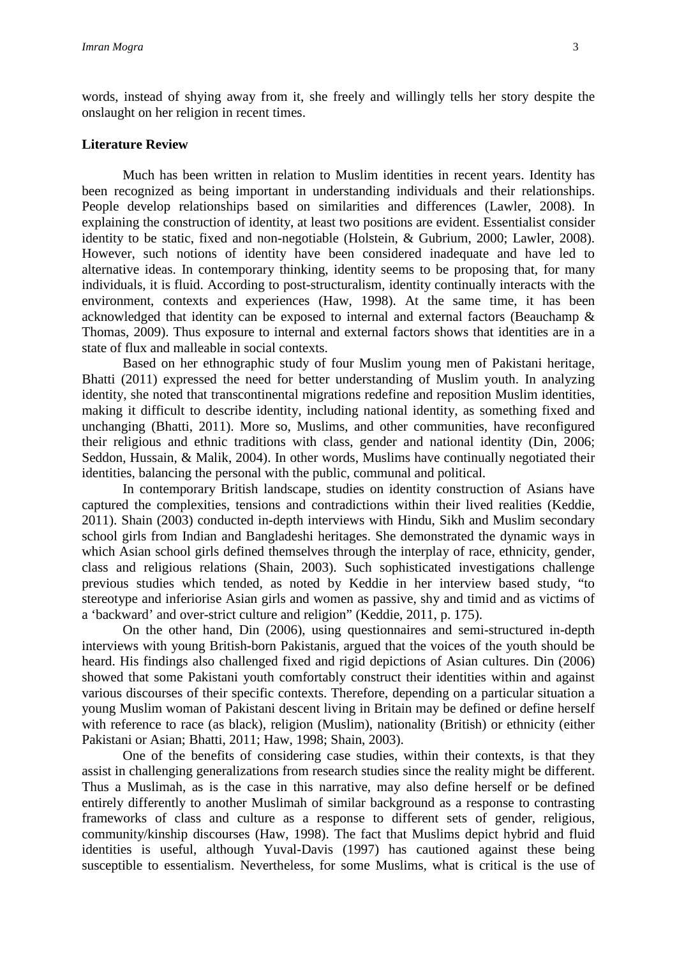words, instead of shying away from it, she freely and willingly tells her story despite the onslaught on her religion in recent times.

## **Literature Review**

Much has been written in relation to Muslim identities in recent years. Identity has been recognized as being important in understanding individuals and their relationships. People develop relationships based on similarities and differences (Lawler, 2008). In explaining the construction of identity, at least two positions are evident. Essentialist consider identity to be static, fixed and non-negotiable (Holstein, & Gubrium, 2000; Lawler, 2008). However, such notions of identity have been considered inadequate and have led to alternative ideas. In contemporary thinking, identity seems to be proposing that, for many individuals, it is fluid. According to post-structuralism, identity continually interacts with the environment, contexts and experiences (Haw, 1998). At the same time, it has been acknowledged that identity can be exposed to internal and external factors (Beauchamp & Thomas, 2009). Thus exposure to internal and external factors shows that identities are in a state of flux and malleable in social contexts.

Based on her ethnographic study of four Muslim young men of Pakistani heritage, Bhatti (2011) expressed the need for better understanding of Muslim youth. In analyzing identity, she noted that transcontinental migrations redefine and reposition Muslim identities, making it difficult to describe identity, including national identity, as something fixed and unchanging (Bhatti, 2011). More so, Muslims, and other communities, have reconfigured their religious and ethnic traditions with class, gender and national identity (Din, 2006; Seddon, Hussain, & Malik, 2004). In other words, Muslims have continually negotiated their identities, balancing the personal with the public, communal and political.

In contemporary British landscape, studies on identity construction of Asians have captured the complexities, tensions and contradictions within their lived realities (Keddie, 2011). Shain (2003) conducted in-depth interviews with Hindu, Sikh and Muslim secondary school girls from Indian and Bangladeshi heritages. She demonstrated the dynamic ways in which Asian school girls defined themselves through the interplay of race, ethnicity, gender, class and religious relations (Shain, 2003). Such sophisticated investigations challenge previous studies which tended, as noted by Keddie in her interview based study, "to stereotype and inferiorise Asian girls and women as passive, shy and timid and as victims of a 'backward' and over-strict culture and religion" (Keddie, 2011, p. 175).

On the other hand, Din (2006), using questionnaires and semi-structured in-depth interviews with young British-born Pakistanis, argued that the voices of the youth should be heard. His findings also challenged fixed and rigid depictions of Asian cultures. Din (2006) showed that some Pakistani youth comfortably construct their identities within and against various discourses of their specific contexts. Therefore, depending on a particular situation a young Muslim woman of Pakistani descent living in Britain may be defined or define herself with reference to race (as black), religion (Muslim), nationality (British) or ethnicity (either Pakistani or Asian; Bhatti, 2011; Haw, 1998; Shain, 2003).

One of the benefits of considering case studies, within their contexts, is that they assist in challenging generalizations from research studies since the reality might be different. Thus a Muslimah, as is the case in this narrative, may also define herself or be defined entirely differently to another Muslimah of similar background as a response to contrasting frameworks of class and culture as a response to different sets of gender, religious, community/kinship discourses (Haw, 1998). The fact that Muslims depict hybrid and fluid identities is useful, although Yuval-Davis (1997) has cautioned against these being susceptible to essentialism. Nevertheless, for some Muslims, what is critical is the use of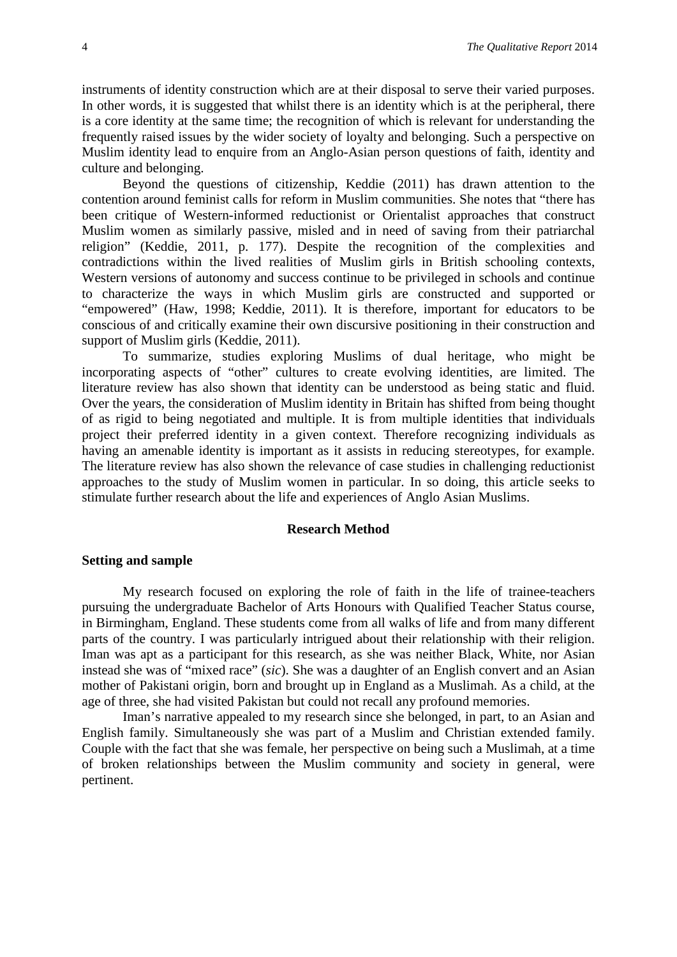instruments of identity construction which are at their disposal to serve their varied purposes. In other words, it is suggested that whilst there is an identity which is at the peripheral, there is a core identity at the same time; the recognition of which is relevant for understanding the frequently raised issues by the wider society of loyalty and belonging. Such a perspective on Muslim identity lead to enquire from an Anglo-Asian person questions of faith, identity and culture and belonging.

Beyond the questions of citizenship, Keddie (2011) has drawn attention to the contention around feminist calls for reform in Muslim communities. She notes that "there has been critique of Western-informed reductionist or Orientalist approaches that construct Muslim women as similarly passive, misled and in need of saving from their patriarchal religion" (Keddie, 2011, p. 177). Despite the recognition of the complexities and contradictions within the lived realities of Muslim girls in British schooling contexts, Western versions of autonomy and success continue to be privileged in schools and continue to characterize the ways in which Muslim girls are constructed and supported or "empowered" (Haw, 1998; Keddie, 2011). It is therefore, important for educators to be conscious of and critically examine their own discursive positioning in their construction and support of Muslim girls (Keddie, 2011).

To summarize, studies exploring Muslims of dual heritage, who might be incorporating aspects of "other" cultures to create evolving identities, are limited. The literature review has also shown that identity can be understood as being static and fluid. Over the years, the consideration of Muslim identity in Britain has shifted from being thought of as rigid to being negotiated and multiple. It is from multiple identities that individuals project their preferred identity in a given context. Therefore recognizing individuals as having an amenable identity is important as it assists in reducing stereotypes, for example. The literature review has also shown the relevance of case studies in challenging reductionist approaches to the study of Muslim women in particular. In so doing, this article seeks to stimulate further research about the life and experiences of Anglo Asian Muslims.

#### **Research Method**

#### **Setting and sample**

My research focused on exploring the role of faith in the life of trainee-teachers pursuing the undergraduate Bachelor of Arts Honours with Qualified Teacher Status course, in Birmingham, England. These students come from all walks of life and from many different parts of the country. I was particularly intrigued about their relationship with their religion. Iman was apt as a participant for this research, as she was neither Black, White, nor Asian instead she was of "mixed race" (*sic*). She was a daughter of an English convert and an Asian mother of Pakistani origin, born and brought up in England as a Muslimah. As a child, at the age of three, she had visited Pakistan but could not recall any profound memories.

Iman's narrative appealed to my research since she belonged, in part, to an Asian and English family. Simultaneously she was part of a Muslim and Christian extended family. Couple with the fact that she was female, her perspective on being such a Muslimah, at a time of broken relationships between the Muslim community and society in general, were pertinent.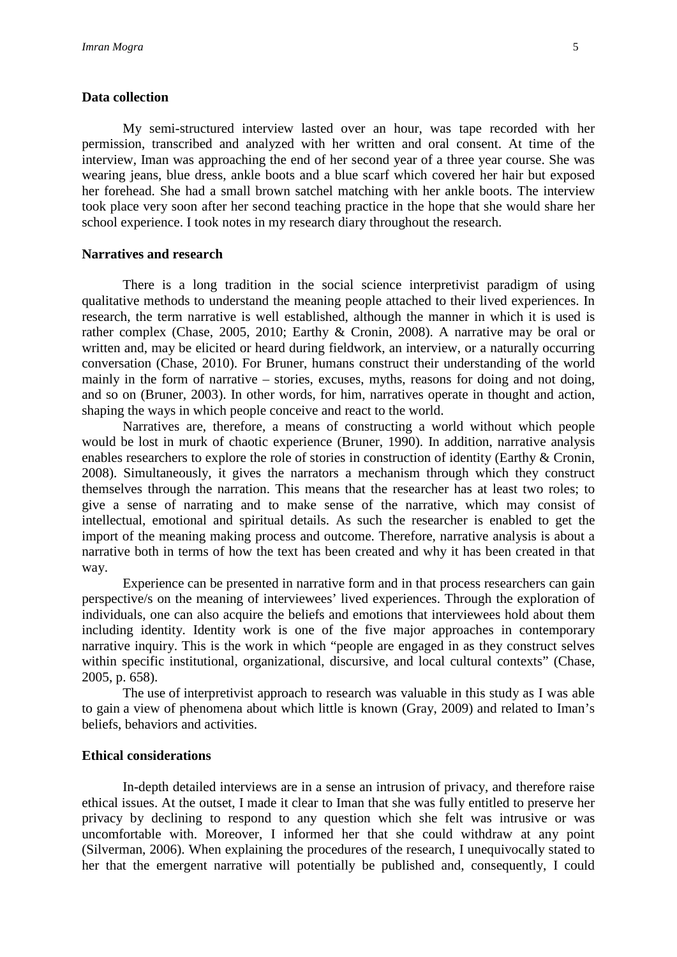## **Data collection**

My semi-structured interview lasted over an hour, was tape recorded with her permission, transcribed and analyzed with her written and oral consent. At time of the interview, Iman was approaching the end of her second year of a three year course. She was wearing jeans, blue dress, ankle boots and a blue scarf which covered her hair but exposed her forehead. She had a small brown satchel matching with her ankle boots. The interview took place very soon after her second teaching practice in the hope that she would share her school experience. I took notes in my research diary throughout the research.

#### **Narratives and research**

There is a long tradition in the social science interpretivist paradigm of using qualitative methods to understand the meaning people attached to their lived experiences. In research, the term narrative is well established, although the manner in which it is used is rather complex (Chase, 2005, 2010; Earthy & Cronin, 2008). A narrative may be oral or written and, may be elicited or heard during fieldwork, an interview, or a naturally occurring conversation (Chase, 2010). For Bruner, humans construct their understanding of the world mainly in the form of narrative – stories, excuses, myths, reasons for doing and not doing, and so on (Bruner, 2003). In other words, for him, narratives operate in thought and action, shaping the ways in which people conceive and react to the world.

Narratives are, therefore, a means of constructing a world without which people would be lost in murk of chaotic experience (Bruner, 1990). In addition, narrative analysis enables researchers to explore the role of stories in construction of identity (Earthy & Cronin, 2008). Simultaneously, it gives the narrators a mechanism through which they construct themselves through the narration. This means that the researcher has at least two roles; to give a sense of narrating and to make sense of the narrative, which may consist of intellectual, emotional and spiritual details. As such the researcher is enabled to get the import of the meaning making process and outcome. Therefore, narrative analysis is about a narrative both in terms of how the text has been created and why it has been created in that way.

Experience can be presented in narrative form and in that process researchers can gain perspective/s on the meaning of interviewees' lived experiences. Through the exploration of individuals, one can also acquire the beliefs and emotions that interviewees hold about them including identity. Identity work is one of the five major approaches in contemporary narrative inquiry. This is the work in which "people are engaged in as they construct selves within specific institutional, organizational, discursive, and local cultural contexts" (Chase, 2005, p. 658).

The use of interpretivist approach to research was valuable in this study as I was able to gain a view of phenomena about which little is known (Gray, 2009) and related to Iman's beliefs, behaviors and activities.

## **Ethical considerations**

In-depth detailed interviews are in a sense an intrusion of privacy, and therefore raise ethical issues. At the outset, I made it clear to Iman that she was fully entitled to preserve her privacy by declining to respond to any question which she felt was intrusive or was uncomfortable with. Moreover, I informed her that she could withdraw at any point (Silverman, 2006). When explaining the procedures of the research, I unequivocally stated to her that the emergent narrative will potentially be published and, consequently, I could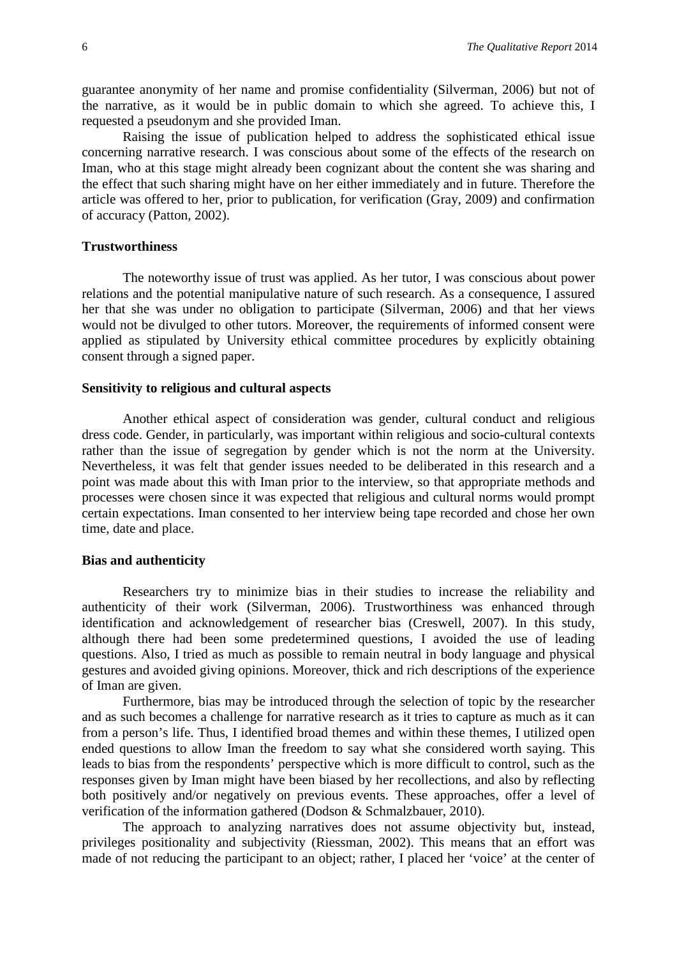guarantee anonymity of her name and promise confidentiality (Silverman, 2006) but not of the narrative, as it would be in public domain to which she agreed. To achieve this, I requested a pseudonym and she provided Iman.

Raising the issue of publication helped to address the sophisticated ethical issue concerning narrative research. I was conscious about some of the effects of the research on Iman, who at this stage might already been cognizant about the content she was sharing and the effect that such sharing might have on her either immediately and in future. Therefore the article was offered to her, prior to publication, for verification (Gray, 2009) and confirmation of accuracy (Patton, 2002).

## **Trustworthiness**

The noteworthy issue of trust was applied. As her tutor, I was conscious about power relations and the potential manipulative nature of such research. As a consequence, I assured her that she was under no obligation to participate (Silverman, 2006) and that her views would not be divulged to other tutors. Moreover, the requirements of informed consent were applied as stipulated by University ethical committee procedures by explicitly obtaining consent through a signed paper.

#### **Sensitivity to religious and cultural aspects**

Another ethical aspect of consideration was gender, cultural conduct and religious dress code. Gender, in particularly, was important within religious and socio-cultural contexts rather than the issue of segregation by gender which is not the norm at the University. Nevertheless, it was felt that gender issues needed to be deliberated in this research and a point was made about this with Iman prior to the interview, so that appropriate methods and processes were chosen since it was expected that religious and cultural norms would prompt certain expectations. Iman consented to her interview being tape recorded and chose her own time, date and place.

#### **Bias and authenticity**

Researchers try to minimize bias in their studies to increase the reliability and authenticity of their work (Silverman, 2006). Trustworthiness was enhanced through identification and acknowledgement of researcher bias (Creswell, 2007). In this study, although there had been some predetermined questions, I avoided the use of leading questions. Also, I tried as much as possible to remain neutral in body language and physical gestures and avoided giving opinions. Moreover, thick and rich descriptions of the experience of Iman are given.

Furthermore, bias may be introduced through the selection of topic by the researcher and as such becomes a challenge for narrative research as it tries to capture as much as it can from a person's life. Thus, I identified broad themes and within these themes, I utilized open ended questions to allow Iman the freedom to say what she considered worth saying. This leads to bias from the respondents' perspective which is more difficult to control, such as the responses given by Iman might have been biased by her recollections, and also by reflecting both positively and/or negatively on previous events. These approaches, offer a level of verification of the information gathered (Dodson & Schmalzbauer, 2010).

The approach to analyzing narratives does not assume objectivity but, instead, privileges positionality and subjectivity (Riessman, 2002). This means that an effort was made of not reducing the participant to an object; rather, I placed her 'voice' at the center of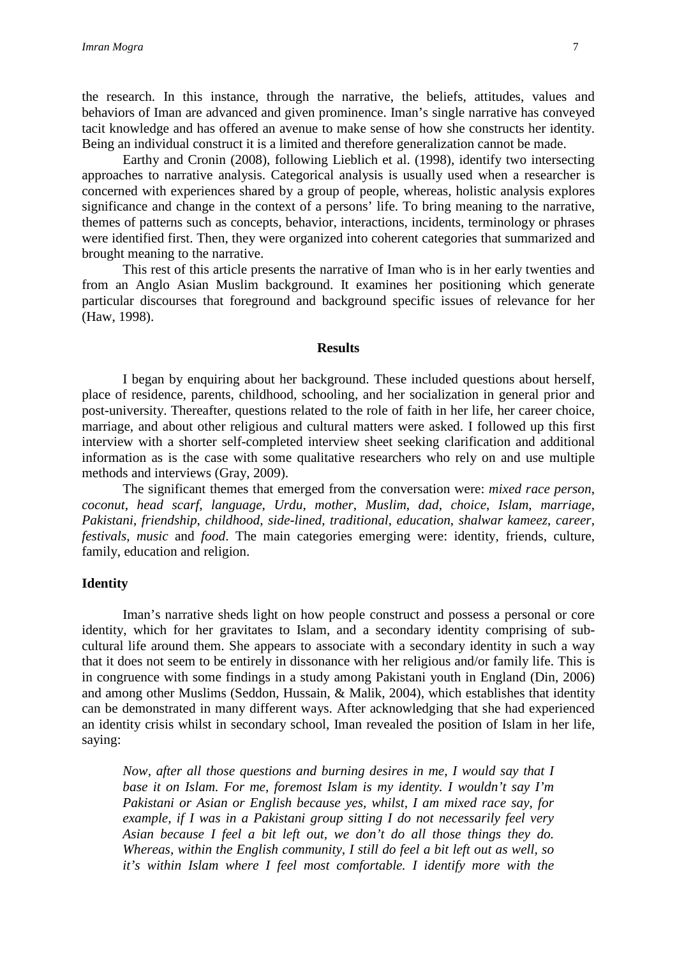the research. In this instance, through the narrative, the beliefs, attitudes, values and behaviors of Iman are advanced and given prominence. Iman's single narrative has conveyed tacit knowledge and has offered an avenue to make sense of how she constructs her identity. Being an individual construct it is a limited and therefore generalization cannot be made.

Earthy and Cronin (2008), following Lieblich et al. (1998), identify two intersecting approaches to narrative analysis. Categorical analysis is usually used when a researcher is concerned with experiences shared by a group of people, whereas, holistic analysis explores significance and change in the context of a persons' life. To bring meaning to the narrative, themes of patterns such as concepts, behavior, interactions, incidents, terminology or phrases were identified first. Then, they were organized into coherent categories that summarized and brought meaning to the narrative.

This rest of this article presents the narrative of Iman who is in her early twenties and from an Anglo Asian Muslim background. It examines her positioning which generate particular discourses that foreground and background specific issues of relevance for her (Haw, 1998).

#### **Results**

I began by enquiring about her background. These included questions about herself, place of residence, parents, childhood, schooling, and her socialization in general prior and post-university. Thereafter, questions related to the role of faith in her life, her career choice, marriage, and about other religious and cultural matters were asked. I followed up this first interview with a shorter self-completed interview sheet seeking clarification and additional information as is the case with some qualitative researchers who rely on and use multiple methods and interviews (Gray, 2009).

The significant themes that emerged from the conversation were: *mixed race person*, *coconut*, *head scarf*, *language*, *Urdu*, *mother*, *Muslim*, *dad*, *choice*, *Islam*, *marriage*, *Pakistani*, *friendship*, *childhood*, *side*-*lined*, *traditional*, *education*, *shalwar kameez*, *career*, *festivals*, *music* and *food*. The main categories emerging were: identity, friends, culture, family, education and religion.

#### **Identity**

Iman's narrative sheds light on how people construct and possess a personal or core identity, which for her gravitates to Islam, and a secondary identity comprising of subcultural life around them. She appears to associate with a secondary identity in such a way that it does not seem to be entirely in dissonance with her religious and/or family life. This is in congruence with some findings in a study among Pakistani youth in England (Din, 2006) and among other Muslims (Seddon, Hussain, & Malik, 2004), which establishes that identity can be demonstrated in many different ways. After acknowledging that she had experienced an identity crisis whilst in secondary school, Iman revealed the position of Islam in her life, saying:

*Now, after all those questions and burning desires in me, I would say that I base it on Islam. For me, foremost Islam is my identity. I wouldn't say I'm Pakistani or Asian or English because yes, whilst, I am mixed race say, for example, if I was in a Pakistani group sitting I do not necessarily feel very Asian because I feel a bit left out, we don't do all those things they do. Whereas, within the English community, I still do feel a bit left out as well, so it's within Islam where I feel most comfortable. I identify more with the*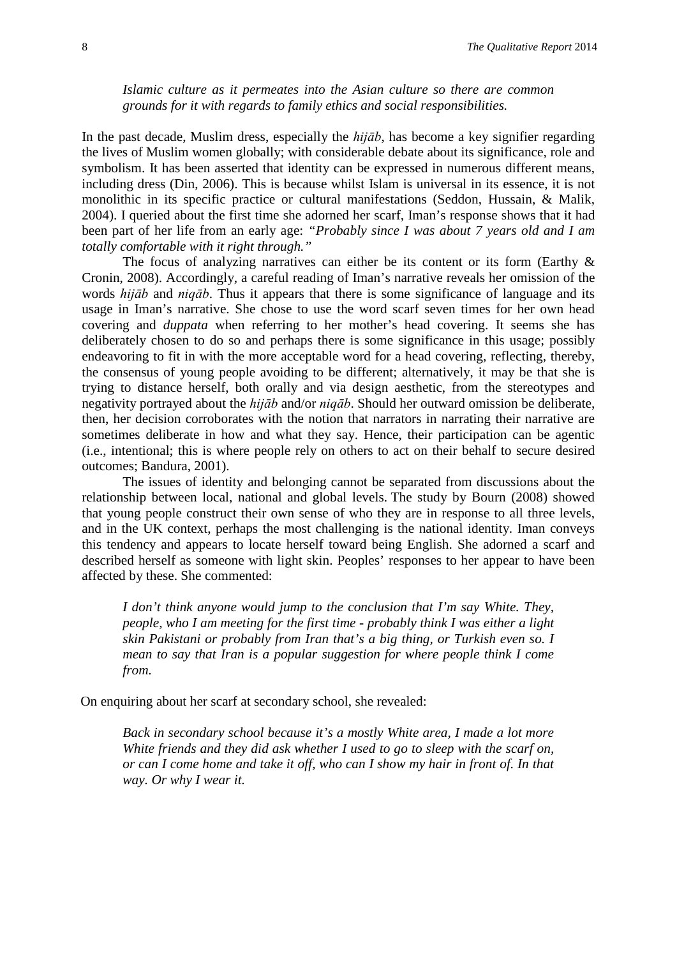*Islamic culture as it permeates into the Asian culture so there are common grounds for it with regards to family ethics and social responsibilities.*

In the past decade, Muslim dress, especially the *hijāb*, has become a key signifier regarding the lives of Muslim women globally; with considerable debate about its significance, role and symbolism. It has been asserted that identity can be expressed in numerous different means, including dress (Din, 2006). This is because whilst Islam is universal in its essence, it is not monolithic in its specific practice or cultural manifestations (Seddon, Hussain, & Malik, 2004). I queried about the first time she adorned her scarf, Iman's response shows that it had been part of her life from an early age: *"Probably since I was about 7 years old and I am totally comfortable with it right through."*

The focus of analyzing narratives can either be its content or its form (Earthy  $\&$ Cronin, 2008). Accordingly, a careful reading of Iman's narrative reveals her omission of the words *hijāb* and *niqāb*. Thus it appears that there is some significance of language and its usage in Iman's narrative. She chose to use the word scarf seven times for her own head covering and *duppata* when referring to her mother's head covering. It seems she has deliberately chosen to do so and perhaps there is some significance in this usage; possibly endeavoring to fit in with the more acceptable word for a head covering, reflecting, thereby, the consensus of young people avoiding to be different; alternatively, it may be that she is trying to distance herself, both orally and via design aesthetic, from the stereotypes and negativity portrayed about the *hijāb* and/or *niqāb*. Should her outward omission be deliberate, then, her decision corroborates with the notion that narrators in narrating their narrative are sometimes deliberate in how and what they say. Hence, their participation can be agentic (i.e., intentional; this is where people rely on others to act on their behalf to secure desired outcomes; Bandura, 2001).

The issues of identity and belonging cannot be separated from discussions about the relationship between local, national and global levels. The study by Bourn (2008) showed that young people construct their own sense of who they are in response to all three levels, and in the UK context, perhaps the most challenging is the national identity. Iman conveys this tendency and appears to locate herself toward being English. She adorned a scarf and described herself as someone with light skin. Peoples' responses to her appear to have been affected by these. She commented:

*I don't think anyone would jump to the conclusion that I'm say White. They, people, who I am meeting for the first time - probably think I was either a light skin Pakistani or probably from Iran that's a big thing, or Turkish even so. I mean to say that Iran is a popular suggestion for where people think I come from.*

On enquiring about her scarf at secondary school, she revealed:

*Back in secondary school because it's a mostly White area, I made a lot more White friends and they did ask whether I used to go to sleep with the scarf on, or can I come home and take it off, who can I show my hair in front of. In that way. Or why I wear it.*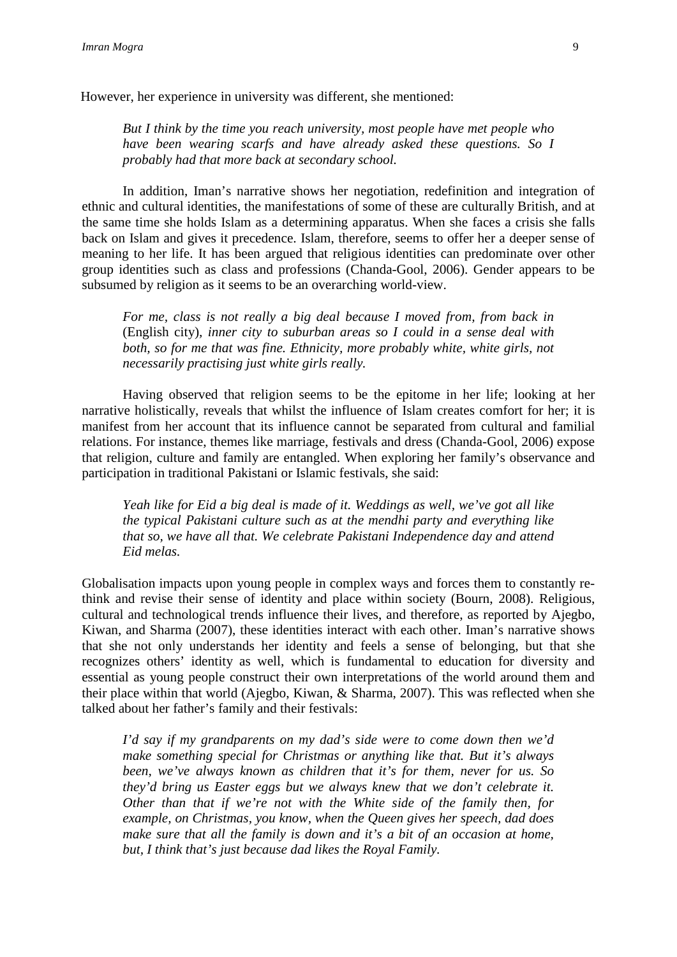However, her experience in university was different, she mentioned:

*But I think by the time you reach university, most people have met people who have been wearing scarfs and have already asked these questions. So I probably had that more back at secondary school.*

In addition, Iman's narrative shows her negotiation, redefinition and integration of ethnic and cultural identities, the manifestations of some of these are culturally British, and at the same time she holds Islam as a determining apparatus. When she faces a crisis she falls back on Islam and gives it precedence. Islam, therefore, seems to offer her a deeper sense of meaning to her life. It has been argued that religious identities can predominate over other group identities such as class and professions (Chanda-Gool, 2006). Gender appears to be subsumed by religion as it seems to be an overarching world-view.

*For me, class is not really a big deal because I moved from, from back in*  (English city)*, inner city to suburban areas so I could in a sense deal with*  both, so for me that was fine. Ethnicity, more probably white, white girls, not *necessarily practising just white girls really.*

Having observed that religion seems to be the epitome in her life; looking at her narrative holistically, reveals that whilst the influence of Islam creates comfort for her; it is manifest from her account that its influence cannot be separated from cultural and familial relations. For instance, themes like marriage, festivals and dress (Chanda-Gool, 2006) expose that religion, culture and family are entangled. When exploring her family's observance and participation in traditional Pakistani or Islamic festivals, she said:

*Yeah like for Eid a big deal is made of it. Weddings as well, we've got all like the typical Pakistani culture such as at the mendhi party and everything like that so, we have all that. We celebrate Pakistani Independence day and attend Eid melas.*

Globalisation impacts upon young people in complex ways and forces them to constantly rethink and revise their sense of identity and place within society (Bourn, 2008). Religious, cultural and technological trends influence their lives, and therefore, as reported by Ajegbo, Kiwan, and Sharma (2007), these identities interact with each other. Iman's narrative shows that she not only understands her identity and feels a sense of belonging, but that she recognizes others' identity as well, which is fundamental to education for diversity and essential as young people construct their own interpretations of the world around them and their place within that world (Ajegbo, Kiwan, & Sharma, 2007). This was reflected when she talked about her father's family and their festivals:

*I'd say if my grandparents on my dad's side were to come down then we'd make something special for Christmas or anything like that. But it's always been, we've always known as children that it's for them, never for us. So they'd bring us Easter eggs but we always knew that we don't celebrate it. Other than that if we're not with the White side of the family then, for example, on Christmas, you know, when the Queen gives her speech, dad does make sure that all the family is down and it's a bit of an occasion at home, but, I think that's just because dad likes the Royal Family.*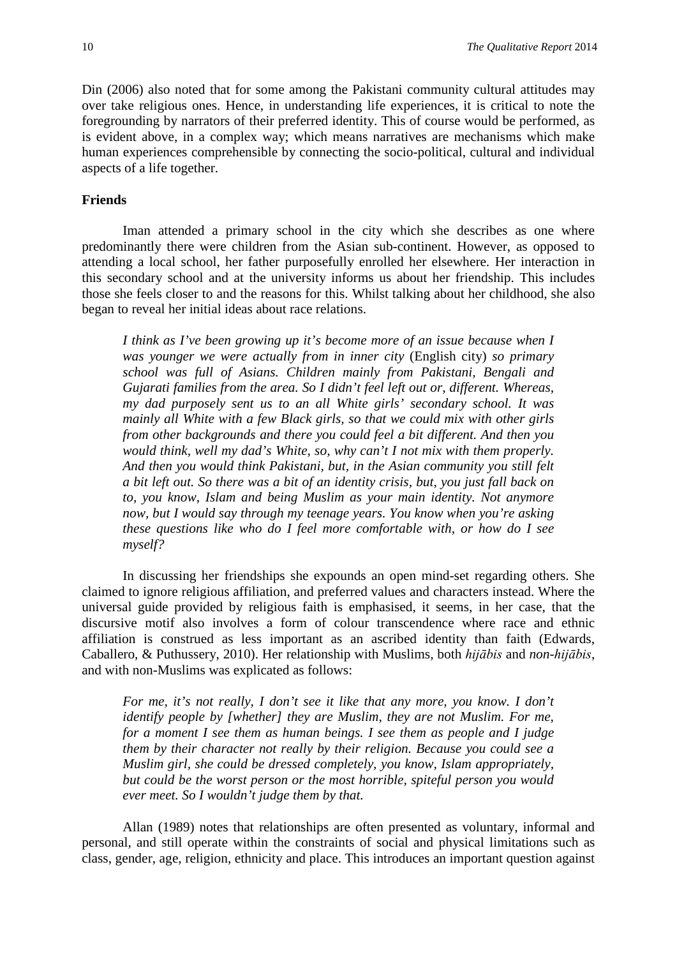Din (2006) also noted that for some among the Pakistani community cultural attitudes may over take religious ones. Hence, in understanding life experiences, it is critical to note the foregrounding by narrators of their preferred identity. This of course would be performed, as is evident above, in a complex way; which means narratives are mechanisms which make human experiences comprehensible by connecting the socio-political, cultural and individual aspects of a life together.

#### **Friends**

Iman attended a primary school in the city which she describes as one where predominantly there were children from the Asian sub-continent. However, as opposed to attending a local school, her father purposefully enrolled her elsewhere. Her interaction in this secondary school and at the university informs us about her friendship. This includes those she feels closer to and the reasons for this. Whilst talking about her childhood, she also began to reveal her initial ideas about race relations.

*I think as I've been growing up it's become more of an issue because when I was younger we were actually from in inner city* (English city) *so primary school was full of Asians. Children mainly from Pakistani, Bengali and Gujarati families from the area. So I didn't feel left out or, different. Whereas, my dad purposely sent us to an all White girls' secondary school. It was mainly all White with a few Black girls, so that we could mix with other girls from other backgrounds and there you could feel a bit different. And then you would think, well my dad's White, so, why can't I not mix with them properly. And then you would think Pakistani, but, in the Asian community you still felt a bit left out. So there was a bit of an identity crisis, but, you just fall back on to, you know, Islam and being Muslim as your main identity. Not anymore now, but I would say through my teenage years. You know when you're asking these questions like who do I feel more comfortable with, or how do I see myself?*

In discussing her friendships she expounds an open mind-set regarding others. She claimed to ignore religious affiliation, and preferred values and characters instead. Where the universal guide provided by religious faith is emphasised, it seems, in her case, that the discursive motif also involves a form of colour transcendence where race and ethnic affiliation is construed as less important as an ascribed identity than faith (Edwards, Caballero, & Puthussery, 2010). Her relationship with Muslims, both *hijābis* and *non-hijābis*, and with non-Muslims was explicated as follows:

*For me, it's not really, I don't see it like that any more, you know. I don't identify people by [whether] they are Muslim, they are not Muslim. For me, for a moment I see them as human beings. I see them as people and I judge them by their character not really by their religion. Because you could see a Muslim girl, she could be dressed completely, you know, Islam appropriately, but could be the worst person or the most horrible, spiteful person you would ever meet. So I wouldn't judge them by that.*

Allan (1989) notes that relationships are often presented as voluntary, informal and personal, and still operate within the constraints of social and physical limitations such as class, gender, age, religion, ethnicity and place. This introduces an important question against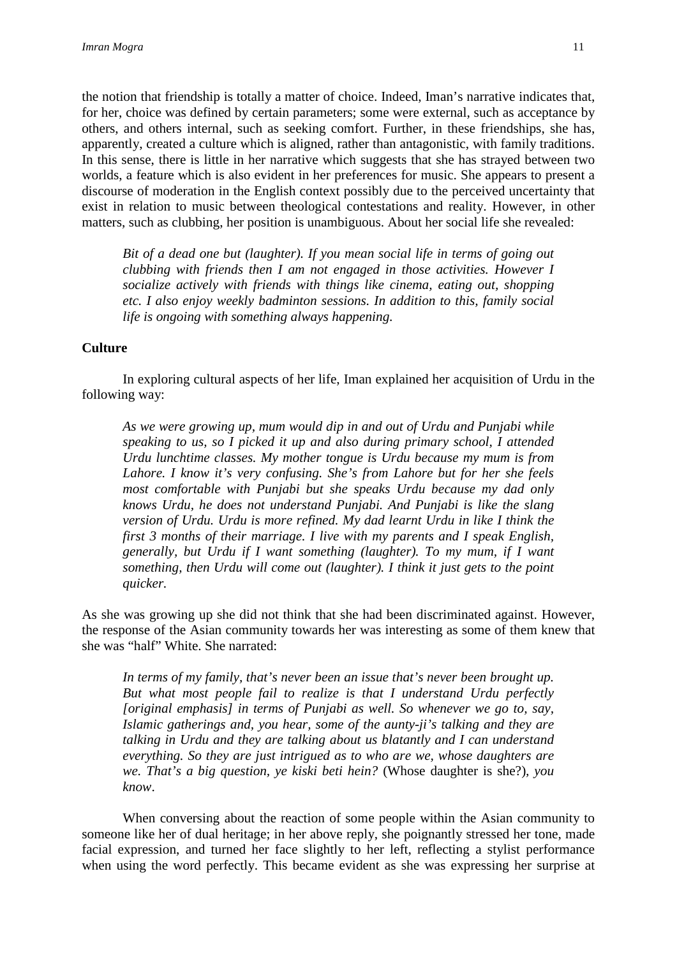the notion that friendship is totally a matter of choice. Indeed, Iman's narrative indicates that, for her, choice was defined by certain parameters; some were external, such as acceptance by others, and others internal, such as seeking comfort. Further, in these friendships, she has, apparently, created a culture which is aligned, rather than antagonistic, with family traditions. In this sense, there is little in her narrative which suggests that she has strayed between two worlds, a feature which is also evident in her preferences for music. She appears to present a discourse of moderation in the English context possibly due to the perceived uncertainty that exist in relation to music between theological contestations and reality. However, in other matters, such as clubbing, her position is unambiguous. About her social life she revealed:

*Bit of a dead one but (laughter). If you mean social life in terms of going out clubbing with friends then I am not engaged in those activities. However I socialize actively with friends with things like cinema, eating out, shopping etc. I also enjoy weekly badminton sessions. In addition to this, family social life is ongoing with something always happening.*

#### **Culture**

In exploring cultural aspects of her life, Iman explained her acquisition of Urdu in the following way:

*As we were growing up, mum would dip in and out of Urdu and Punjabi while speaking to us, so I picked it up and also during primary school, I attended Urdu lunchtime classes. My mother tongue is Urdu because my mum is from Lahore. I know it's very confusing. She's from Lahore but for her she feels most comfortable with Punjabi but she speaks Urdu because my dad only knows Urdu, he does not understand Punjabi. And Punjabi is like the slang version of Urdu. Urdu is more refined. My dad learnt Urdu in like I think the first 3 months of their marriage. I live with my parents and I speak English, generally, but Urdu if I want something (laughter). To my mum, if I want something, then Urdu will come out (laughter). I think it just gets to the point quicker.*

As she was growing up she did not think that she had been discriminated against. However, the response of the Asian community towards her was interesting as some of them knew that she was "half" White. She narrated:

*In terms of my family, that's never been an issue that's never been brought up. But what most people fail to realize is that I understand Urdu perfectly [original emphasis] in terms of Punjabi as well. So whenever we go to, say, Islamic gatherings and, you hear, some of the aunty-ji's talking and they are talking in Urdu and they are talking about us blatantly and I can understand everything. So they are just intrigued as to who are we, whose daughters are we. That's a big question, ye kiski beti hein?* (Whose daughter is she?)*, you know*.

When conversing about the reaction of some people within the Asian community to someone like her of dual heritage; in her above reply, she poignantly stressed her tone, made facial expression, and turned her face slightly to her left, reflecting a stylist performance when using the word perfectly. This became evident as she was expressing her surprise at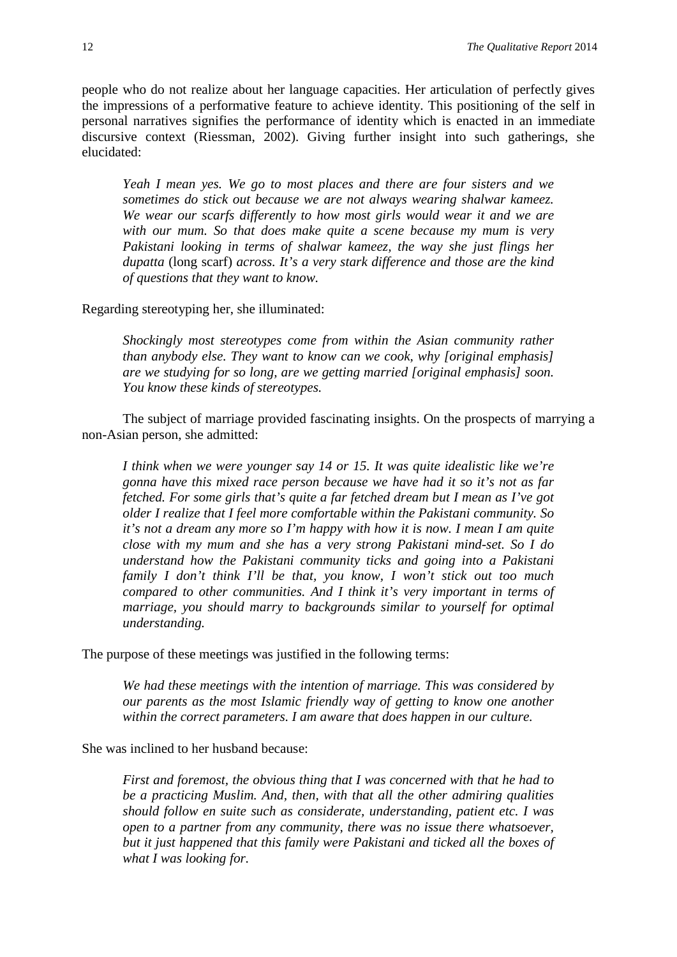people who do not realize about her language capacities. Her articulation of perfectly gives the impressions of a performative feature to achieve identity. This positioning of the self in personal narratives signifies the performance of identity which is enacted in an immediate discursive context (Riessman, 2002). Giving further insight into such gatherings, she elucidated:

*Yeah I mean yes. We go to most places and there are four sisters and we sometimes do stick out because we are not always wearing shalwar kameez. We wear our scarfs differently to how most girls would wear it and we are with our mum. So that does make quite a scene because my mum is very Pakistani looking in terms of shalwar kameez, the way she just flings her dupatta* (long scarf) *across. It's a very stark difference and those are the kind of questions that they want to know.*

Regarding stereotyping her, she illuminated:

*Shockingly most stereotypes come from within the Asian community rather than anybody else. They want to know can we cook, why [original emphasis] are we studying for so long, are we getting married [original emphasis] soon. You know these kinds of stereotypes.*

The subject of marriage provided fascinating insights. On the prospects of marrying a non-Asian person, she admitted:

*I think when we were younger say 14 or 15. It was quite idealistic like we're gonna have this mixed race person because we have had it so it's not as far fetched. For some girls that's quite a far fetched dream but I mean as I've got older I realize that I feel more comfortable within the Pakistani community. So it's not a dream any more so I'm happy with how it is now. I mean I am quite close with my mum and she has a very strong Pakistani mind-set. So I do understand how the Pakistani community ticks and going into a Pakistani family I don't think I'll be that, you know, I won't stick out too much compared to other communities. And I think it's very important in terms of marriage, you should marry to backgrounds similar to yourself for optimal understanding.*

The purpose of these meetings was justified in the following terms:

*We had these meetings with the intention of marriage. This was considered by our parents as the most Islamic friendly way of getting to know one another within the correct parameters. I am aware that does happen in our culture.*

She was inclined to her husband because:

*First and foremost, the obvious thing that I was concerned with that he had to be a practicing Muslim. And, then, with that all the other admiring qualities should follow en suite such as considerate, understanding, patient etc. I was open to a partner from any community, there was no issue there whatsoever, but it just happened that this family were Pakistani and ticked all the boxes of what I was looking for.*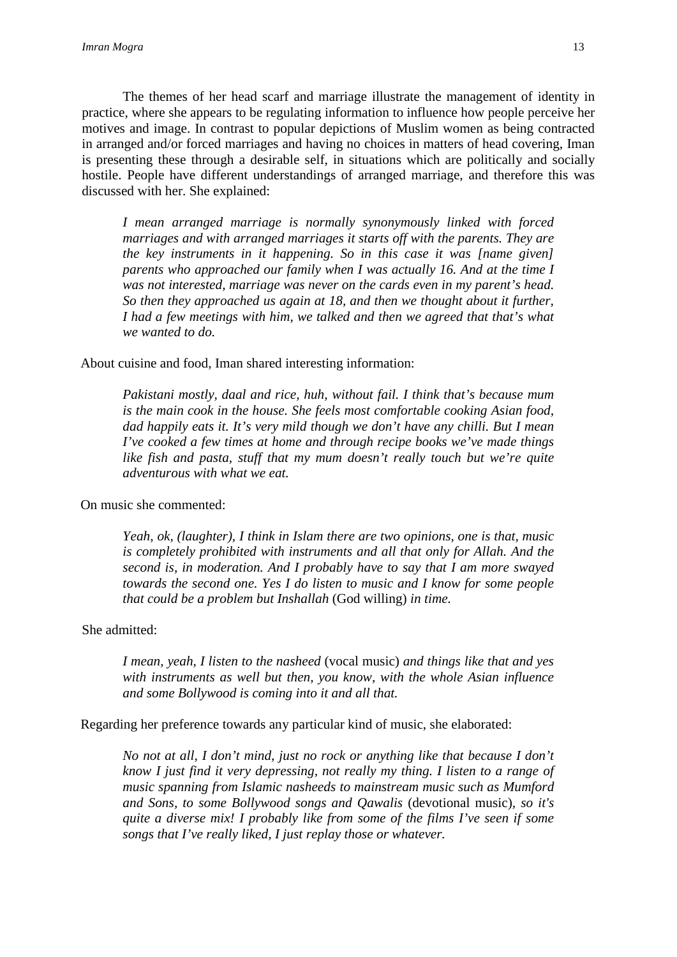The themes of her head scarf and marriage illustrate the management of identity in practice, where she appears to be regulating information to influence how people perceive her motives and image. In contrast to popular depictions of Muslim women as being contracted in arranged and/or forced marriages and having no choices in matters of head covering, Iman is presenting these through a desirable self, in situations which are politically and socially hostile. People have different understandings of arranged marriage, and therefore this was discussed with her. She explained:

*I mean arranged marriage is normally synonymously linked with forced marriages and with arranged marriages it starts off with the parents. They are the key instruments in it happening. So in this case it was [name given] parents who approached our family when I was actually 16. And at the time I was not interested, marriage was never on the cards even in my parent's head. So then they approached us again at 18, and then we thought about it further, I had a few meetings with him, we talked and then we agreed that that's what we wanted to do.*

About cuisine and food, Iman shared interesting information:

*Pakistani mostly, daal and rice, huh, without fail. I think that's because mum is the main cook in the house. She feels most comfortable cooking Asian food, dad happily eats it. It's very mild though we don't have any chilli. But I mean I've cooked a few times at home and through recipe books we've made things like fish and pasta, stuff that my mum doesn't really touch but we're quite adventurous with what we eat.*

On music she commented:

*Yeah, ok, (laughter), I think in Islam there are two opinions, one is that, music is completely prohibited with instruments and all that only for Allah. And the second is, in moderation. And I probably have to say that I am more swayed towards the second one. Yes I do listen to music and I know for some people that could be a problem but Inshallah* (God willing) *in time.*

#### She admitted:

*I mean, yeah, I listen to the nasheed* (vocal music) *and things like that and yes with instruments as well but then, you know, with the whole Asian influence and some Bollywood is coming into it and all that.*

Regarding her preference towards any particular kind of music, she elaborated:

*No not at all, I don't mind, just no rock or anything like that because I don't know I just find it very depressing, not really my thing. I listen to a range of music spanning from Islamic nasheeds to mainstream music such as Mumford and Sons, to some Bollywood songs and Qawalis* (devotional music)*, so it's quite a diverse mix! I probably like from some of the films I've seen if some songs that I've really liked, I just replay those or whatever.*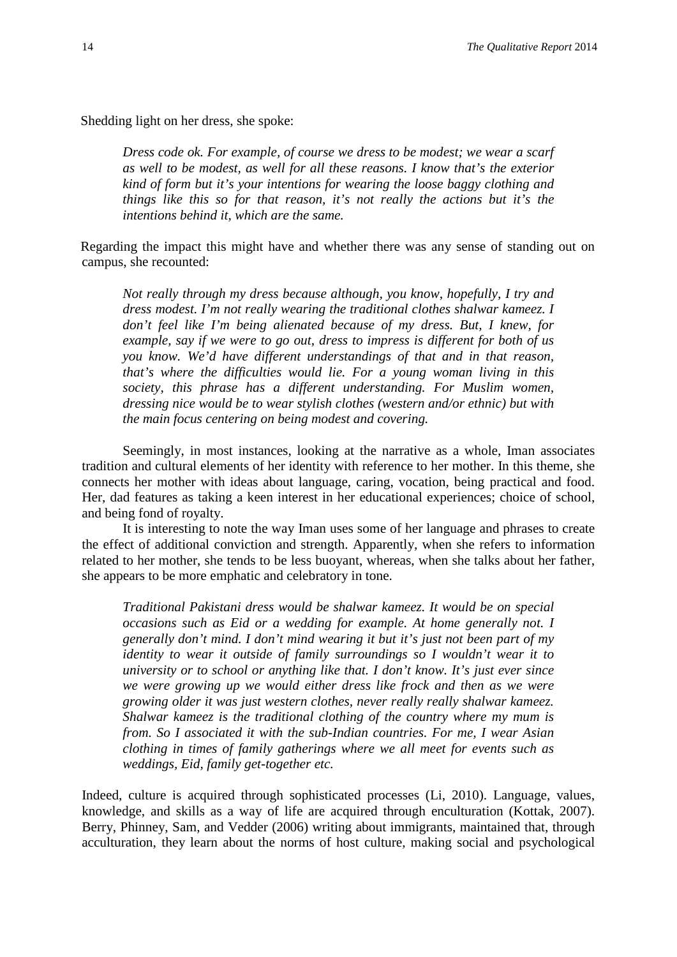Shedding light on her dress, she spoke:

*Dress code ok. For example, of course we dress to be modest; we wear a scarf as well to be modest, as well for all these reasons. I know that's the exterior kind of form but it's your intentions for wearing the loose baggy clothing and things like this so for that reason, it's not really the actions but it's the intentions behind it, which are the same.*

Regarding the impact this might have and whether there was any sense of standing out on campus, she recounted:

*Not really through my dress because although, you know, hopefully, I try and dress modest. I'm not really wearing the traditional clothes shalwar kameez. I don't feel like I'm being alienated because of my dress. But, I knew, for example, say if we were to go out, dress to impress is different for both of us you know. We'd have different understandings of that and in that reason, that's where the difficulties would lie. For a young woman living in this society, this phrase has a different understanding. For Muslim women, dressing nice would be to wear stylish clothes (western and/or ethnic) but with the main focus centering on being modest and covering.*

Seemingly, in most instances, looking at the narrative as a whole, Iman associates tradition and cultural elements of her identity with reference to her mother. In this theme, she connects her mother with ideas about language, caring, vocation, being practical and food. Her, dad features as taking a keen interest in her educational experiences; choice of school, and being fond of royalty.

It is interesting to note the way Iman uses some of her language and phrases to create the effect of additional conviction and strength. Apparently, when she refers to information related to her mother, she tends to be less buoyant, whereas, when she talks about her father, she appears to be more emphatic and celebratory in tone.

*Traditional Pakistani dress would be shalwar kameez. It would be on special occasions such as Eid or a wedding for example. At home generally not. I generally don't mind. I don't mind wearing it but it's just not been part of my identity to wear it outside of family surroundings so I wouldn't wear it to university or to school or anything like that. I don't know. It's just ever since we were growing up we would either dress like frock and then as we were growing older it was just western clothes, never really really shalwar kameez. Shalwar kameez is the traditional clothing of the country where my mum is from. So I associated it with the sub-Indian countries. For me, I wear Asian clothing in times of family gatherings where we all meet for events such as weddings, Eid, family get-together etc.*

Indeed, culture is acquired through sophisticated processes (Li, 2010). Language, values, knowledge, and skills as a way of life are acquired through enculturation (Kottak, 2007). Berry, Phinney, Sam, and Vedder (2006) writing about immigrants, maintained that, through acculturation, they learn about the norms of host culture, making social and psychological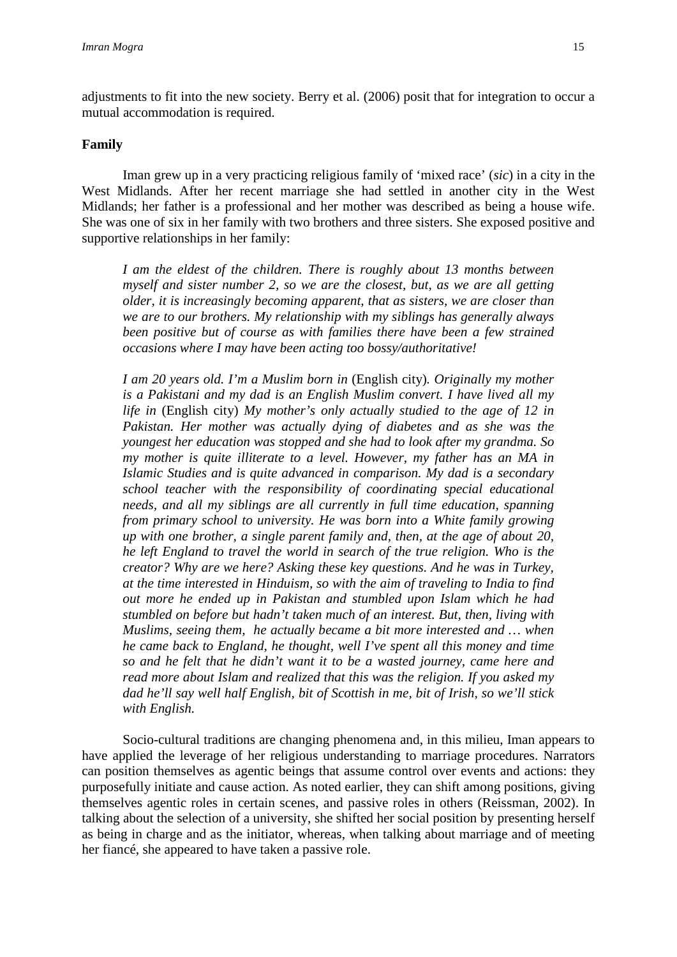adjustments to fit into the new society. Berry et al. (2006) posit that for integration to occur a mutual accommodation is required.

#### **Family**

Iman grew up in a very practicing religious family of 'mixed race' (*sic*) in a city in the West Midlands. After her recent marriage she had settled in another city in the West Midlands; her father is a professional and her mother was described as being a house wife. She was one of six in her family with two brothers and three sisters. She exposed positive and supportive relationships in her family:

*I am the eldest of the children. There is roughly about 13 months between myself and sister number 2, so we are the closest, but, as we are all getting older, it is increasingly becoming apparent, that as sisters, we are closer than we are to our brothers. My relationship with my siblings has generally always been positive but of course as with families there have been a few strained occasions where I may have been acting too bossy/authoritative!*

*I am 20 years old. I'm a Muslim born in* (English city)*. Originally my mother is a Pakistani and my dad is an English Muslim convert. I have lived all my life in* (English city) *My mother's only actually studied to the age of 12 in Pakistan. Her mother was actually dying of diabetes and as she was the youngest her education was stopped and she had to look after my grandma. So my mother is quite illiterate to a level. However, my father has an MA in Islamic Studies and is quite advanced in comparison. My dad is a secondary school teacher with the responsibility of coordinating special educational needs, and all my siblings are all currently in full time education, spanning from primary school to university. He was born into a White family growing up with one brother, a single parent family and, then, at the age of about 20, he left England to travel the world in search of the true religion. Who is the creator? Why are we here? Asking these key questions. And he was in Turkey, at the time interested in Hinduism, so with the aim of traveling to India to find out more he ended up in Pakistan and stumbled upon Islam which he had stumbled on before but hadn't taken much of an interest. But, then, living with Muslims, seeing them, he actually became a bit more interested and … when he came back to England, he thought, well I've spent all this money and time so and he felt that he didn't want it to be a wasted journey, came here and read more about Islam and realized that this was the religion. If you asked my dad he'll say well half English, bit of Scottish in me, bit of Irish, so we'll stick with English.*

Socio-cultural traditions are changing phenomena and, in this milieu, Iman appears to have applied the leverage of her religious understanding to marriage procedures. Narrators can position themselves as agentic beings that assume control over events and actions: they purposefully initiate and cause action. As noted earlier, they can shift among positions, giving themselves agentic roles in certain scenes, and passive roles in others (Reissman, 2002). In talking about the selection of a university, she shifted her social position by presenting herself as being in charge and as the initiator, whereas, when talking about marriage and of meeting her fiancé, she appeared to have taken a passive role.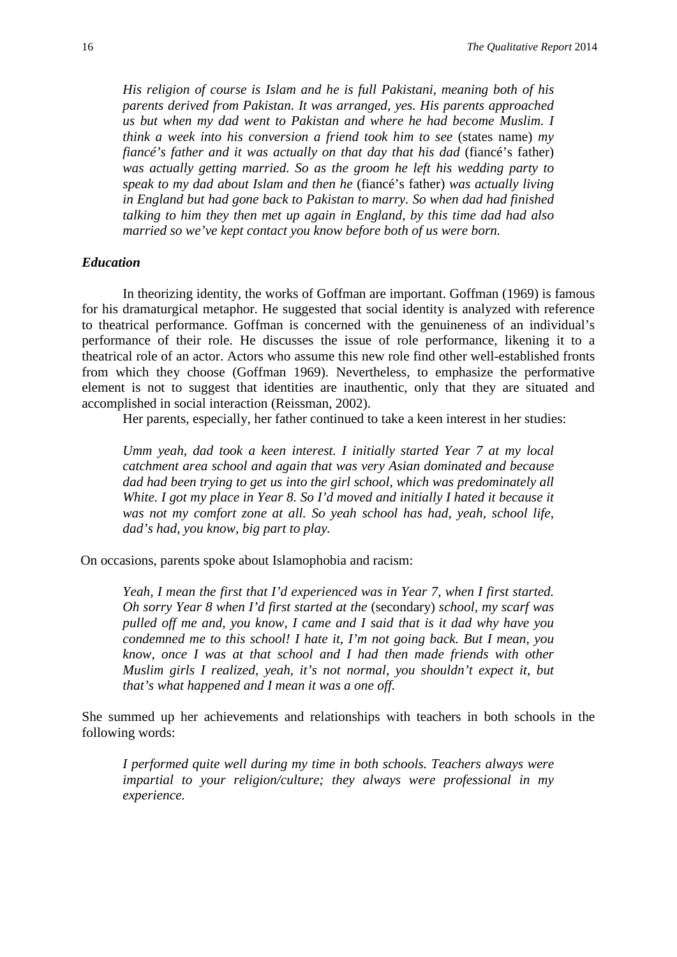*His religion of course is Islam and he is full Pakistani, meaning both of his parents derived from Pakistan. It was arranged, yes. His parents approached us but when my dad went to Pakistan and where he had become Muslim. I think a week into his conversion a friend took him to see* (states name) *my fiancé's father and it was actually on that day that his dad* (fiancé's father) *was actually getting married. So as the groom he left his wedding party to speak to my dad about Islam and then he* (fiancé's father) *was actually living in England but had gone back to Pakistan to marry. So when dad had finished talking to him they then met up again in England, by this time dad had also married so we've kept contact you know before both of us were born.*

## *Education*

In theorizing identity, the works of Goffman are important. Goffman (1969) is famous for his dramaturgical metaphor. He suggested that social identity is analyzed with reference to theatrical performance. Goffman is concerned with the genuineness of an individual's performance of their role. He discusses the issue of role performance, likening it to a theatrical role of an actor. Actors who assume this new role find other well-established fronts from which they choose (Goffman 1969). Nevertheless, to emphasize the performative element is not to suggest that identities are inauthentic, only that they are situated and accomplished in social interaction (Reissman, 2002).

Her parents, especially, her father continued to take a keen interest in her studies:

*Umm yeah, dad took a keen interest. I initially started Year 7 at my local catchment area school and again that was very Asian dominated and because dad had been trying to get us into the girl school, which was predominately all White. I got my place in Year 8. So I'd moved and initially I hated it because it was not my comfort zone at all. So yeah school has had, yeah, school life, dad's had, you know, big part to play.*

On occasions, parents spoke about Islamophobia and racism:

*Yeah, I mean the first that I'd experienced was in Year 7, when I first started. Oh sorry Year 8 when I'd first started at the* (secondary) *school, my scarf was pulled off me and, you know, I came and I said that is it dad why have you condemned me to this school! I hate it, I'm not going back. But I mean, you know, once I was at that school and I had then made friends with other Muslim girls I realized, yeah, it's not normal, you shouldn't expect it, but that's what happened and I mean it was a one off.*

She summed up her achievements and relationships with teachers in both schools in the following words:

*I performed quite well during my time in both schools. Teachers always were impartial to your religion/culture; they always were professional in my experience.*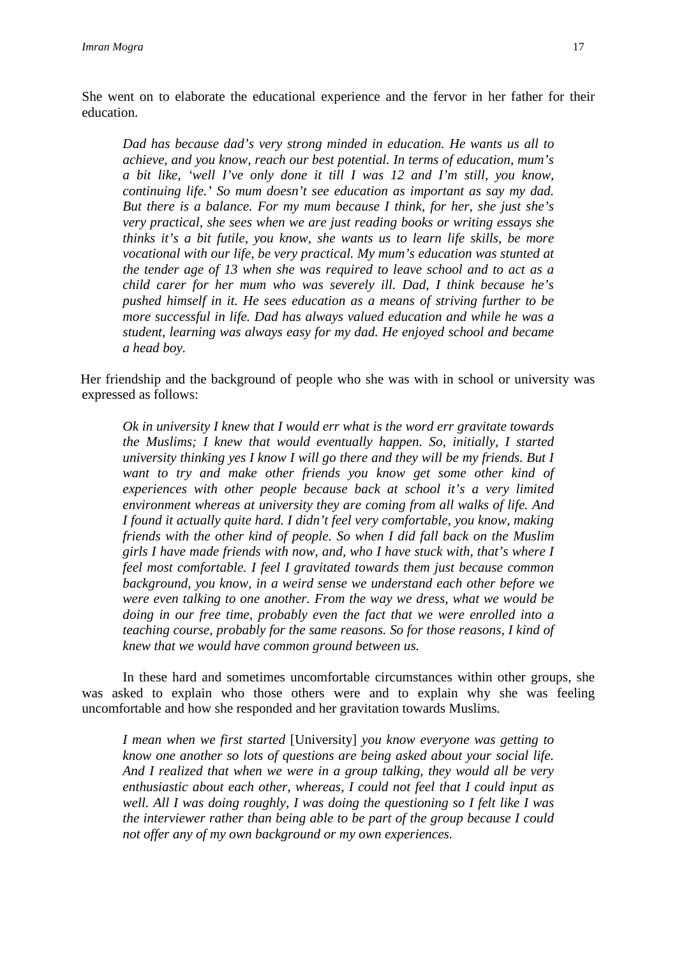She went on to elaborate the educational experience and the fervor in her father for their education.

*Dad has because dad's very strong minded in education. He wants us all to achieve, and you know, reach our best potential. In terms of education, mum's a bit like, 'well I've only done it till I was 12 and I'm still, you know, continuing life.' So mum doesn't see education as important as say my dad. But there is a balance. For my mum because I think, for her, she just she's very practical, she sees when we are just reading books or writing essays she thinks it's a bit futile, you know, she wants us to learn life skills, be more vocational with our life, be very practical. My mum's education was stunted at the tender age of 13 when she was required to leave school and to act as a child carer for her mum who was severely ill. Dad, I think because he's pushed himself in it. He sees education as a means of striving further to be more successful in life. Dad has always valued education and while he was a student, learning was always easy for my dad. He enjoyed school and became a head boy.*

Her friendship and the background of people who she was with in school or university was expressed as follows:

*Ok in university I knew that I would err what is the word err gravitate towards the Muslims; I knew that would eventually happen. So, initially, I started university thinking yes I know I will go there and they will be my friends. But I want to try and make other friends you know get some other kind of experiences with other people because back at school it's a very limited environment whereas at university they are coming from all walks of life. And I found it actually quite hard. I didn't feel very comfortable, you know, making friends with the other kind of people. So when I did fall back on the Muslim girls I have made friends with now, and, who I have stuck with, that's where I feel most comfortable. I feel I gravitated towards them just because common background, you know, in a weird sense we understand each other before we were even talking to one another. From the way we dress, what we would be doing in our free time, probably even the fact that we were enrolled into a teaching course, probably for the same reasons. So for those reasons, I kind of knew that we would have common ground between us.*

In these hard and sometimes uncomfortable circumstances within other groups, she was asked to explain who those others were and to explain why she was feeling uncomfortable and how she responded and her gravitation towards Muslims.

*I mean when we first started* [University] *you know everyone was getting to know one another so lots of questions are being asked about your social life. And I realized that when we were in a group talking, they would all be very enthusiastic about each other, whereas, I could not feel that I could input as well. All I was doing roughly, I was doing the questioning so I felt like I was the interviewer rather than being able to be part of the group because I could not offer any of my own background or my own experiences.*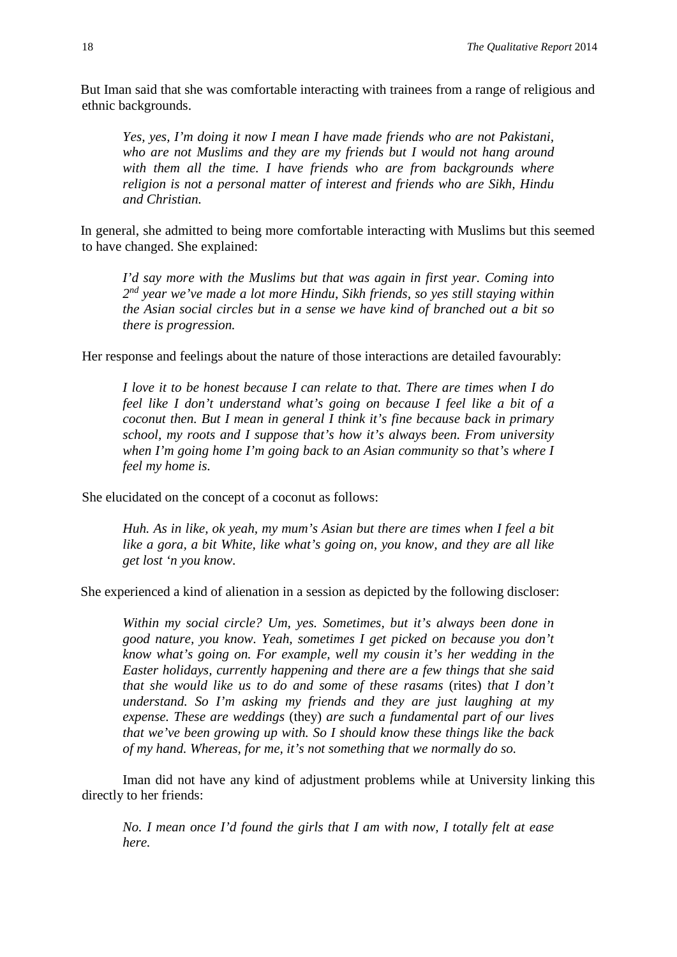But Iman said that she was comfortable interacting with trainees from a range of religious and ethnic backgrounds.

*Yes, yes, I'm doing it now I mean I have made friends who are not Pakistani, who are not Muslims and they are my friends but I would not hang around with them all the time. I have friends who are from backgrounds where religion is not a personal matter of interest and friends who are Sikh, Hindu and Christian.*

In general, she admitted to being more comfortable interacting with Muslims but this seemed to have changed. She explained:

*I'd say more with the Muslims but that was again in first year. Coming into 2nd year we've made a lot more Hindu, Sikh friends, so yes still staying within the Asian social circles but in a sense we have kind of branched out a bit so there is progression.*

Her response and feelings about the nature of those interactions are detailed favourably:

*I love it to be honest because I can relate to that. There are times when I do feel like I don't understand what's going on because I feel like a bit of a coconut then. But I mean in general I think it's fine because back in primary school, my roots and I suppose that's how it's always been. From university when I'm going home I'm going back to an Asian community so that's where I feel my home is.*

She elucidated on the concept of a coconut as follows:

*Huh. As in like, ok yeah, my mum's Asian but there are times when I feel a bit like a gora, a bit White, like what's going on, you know, and they are all like get lost 'n you know.*

She experienced a kind of alienation in a session as depicted by the following discloser:

*Within my social circle? Um, yes. Sometimes, but it's always been done in good nature, you know. Yeah, sometimes I get picked on because you don't know what's going on. For example, well my cousin it's her wedding in the Easter holidays, currently happening and there are a few things that she said that she would like us to do and some of these rasams* (rites) *that I don't understand. So I'm asking my friends and they are just laughing at my expense. These are weddings* (they) *are such a fundamental part of our lives that we've been growing up with. So I should know these things like the back of my hand. Whereas, for me, it's not something that we normally do so.*

Iman did not have any kind of adjustment problems while at University linking this directly to her friends:

*No. I mean once I'd found the girls that I am with now, I totally felt at ease here.*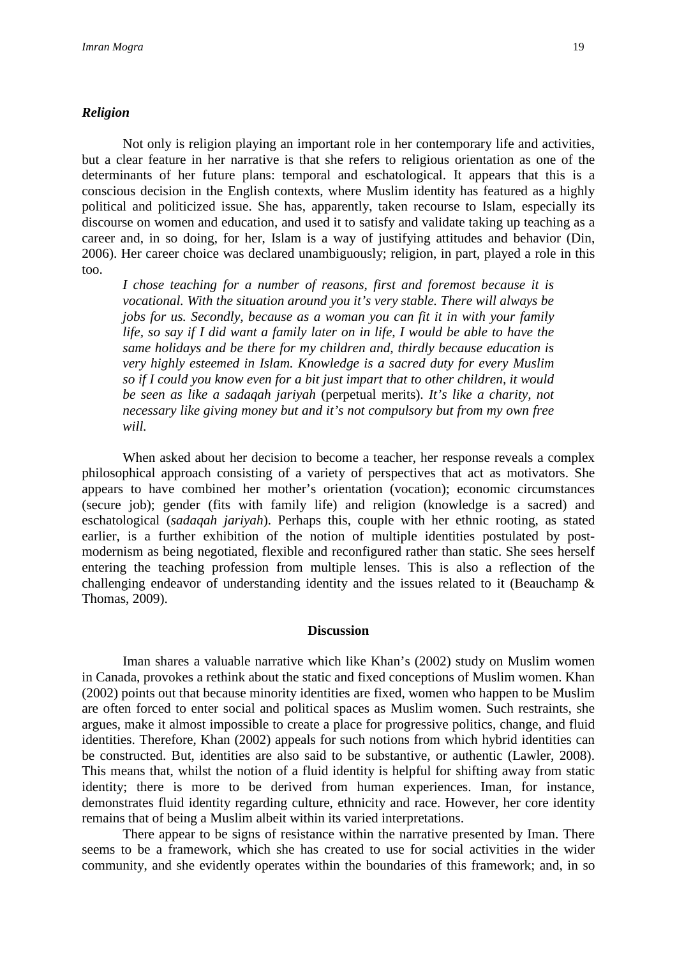## *Religion*

Not only is religion playing an important role in her contemporary life and activities, but a clear feature in her narrative is that she refers to religious orientation as one of the determinants of her future plans: temporal and eschatological. It appears that this is a conscious decision in the English contexts, where Muslim identity has featured as a highly political and politicized issue. She has, apparently, taken recourse to Islam, especially its discourse on women and education, and used it to satisfy and validate taking up teaching as a career and, in so doing, for her, Islam is a way of justifying attitudes and behavior (Din, 2006). Her career choice was declared unambiguously; religion, in part, played a role in this too.

*I chose teaching for a number of reasons, first and foremost because it is vocational. With the situation around you it's very stable. There will always be jobs for us. Secondly, because as a woman you can fit it in with your family life, so say if I did want a family later on in life, I would be able to have the same holidays and be there for my children and, thirdly because education is very highly esteemed in Islam. Knowledge is a sacred duty for every Muslim so if I could you know even for a bit just impart that to other children, it would be seen as like a sadaqah jariyah* (perpetual merits). *It's like a charity, not necessary like giving money but and it's not compulsory but from my own free will.*

When asked about her decision to become a teacher, her response reveals a complex philosophical approach consisting of a variety of perspectives that act as motivators. She appears to have combined her mother's orientation (vocation); economic circumstances (secure job); gender (fits with family life) and religion (knowledge is a sacred) and eschatological (*sadaqah jariyah*). Perhaps this, couple with her ethnic rooting, as stated earlier, is a further exhibition of the notion of multiple identities postulated by postmodernism as being negotiated, flexible and reconfigured rather than static. She sees herself entering the teaching profession from multiple lenses. This is also a reflection of the challenging endeavor of understanding identity and the issues related to it (Beauchamp & Thomas, 2009).

## **Discussion**

Iman shares a valuable narrative which like Khan's (2002) study on Muslim women in Canada, provokes a rethink about the static and fixed conceptions of Muslim women. Khan (2002) points out that because minority identities are fixed, women who happen to be Muslim are often forced to enter social and political spaces as Muslim women. Such restraints, she argues, make it almost impossible to create a place for progressive politics, change, and fluid identities. Therefore, Khan (2002) appeals for such notions from which hybrid identities can be constructed. But, identities are also said to be substantive, or authentic (Lawler, 2008). This means that, whilst the notion of a fluid identity is helpful for shifting away from static identity; there is more to be derived from human experiences. Iman, for instance, demonstrates fluid identity regarding culture, ethnicity and race. However, her core identity remains that of being a Muslim albeit within its varied interpretations.

There appear to be signs of resistance within the narrative presented by Iman. There seems to be a framework, which she has created to use for social activities in the wider community, and she evidently operates within the boundaries of this framework; and, in so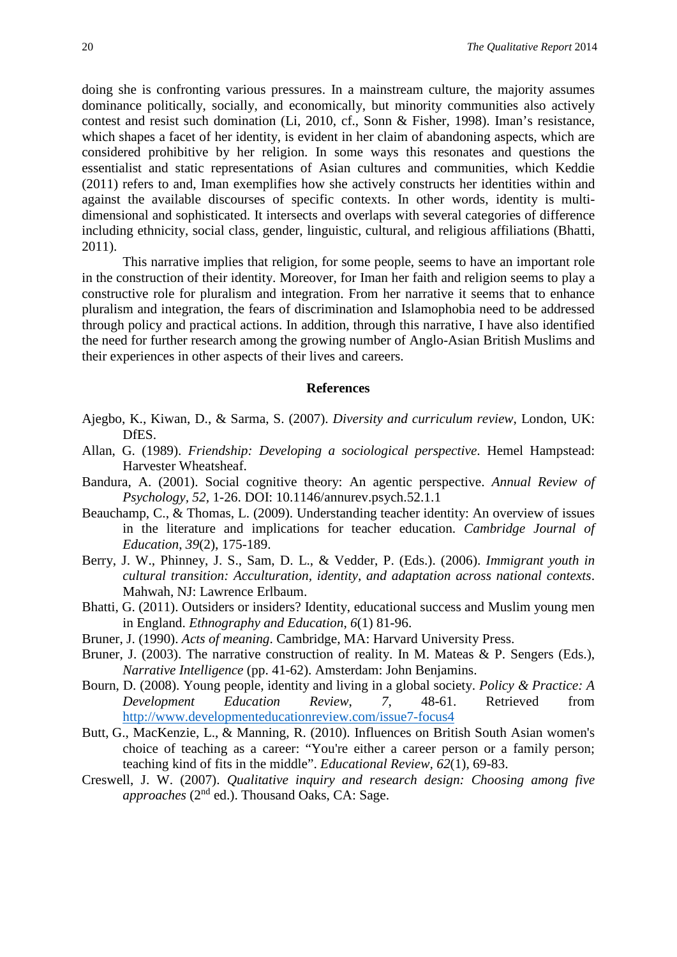doing she is confronting various pressures. In a mainstream culture, the majority assumes dominance politically, socially, and economically, but minority communities also actively contest and resist such domination (Li, 2010, cf., Sonn & Fisher, 1998). Iman's resistance, which shapes a facet of her identity, is evident in her claim of abandoning aspects, which are considered prohibitive by her religion. In some ways this resonates and questions the essentialist and static representations of Asian cultures and communities, which Keddie (2011) refers to and, Iman exemplifies how she actively constructs her identities within and against the available discourses of specific contexts. In other words, identity is multidimensional and sophisticated. It intersects and overlaps with several categories of difference including ethnicity, social class, gender, linguistic, cultural, and religious affiliations (Bhatti, 2011).

This narrative implies that religion, for some people, seems to have an important role in the construction of their identity. Moreover, for Iman her faith and religion seems to play a constructive role for pluralism and integration. From her narrative it seems that to enhance pluralism and integration, the fears of discrimination and Islamophobia need to be addressed through policy and practical actions. In addition, through this narrative, I have also identified the need for further research among the growing number of Anglo-Asian British Muslims and their experiences in other aspects of their lives and careers.

#### **References**

- Ajegbo, K., Kiwan, D., & Sarma, S. (2007). *Diversity and curriculum review*, London, UK: DfES.
- Allan, G. (1989). *Friendship: Developing a sociological perspective*. Hemel Hampstead: Harvester Wheatsheaf.
- Bandura, A. (2001). Social cognitive theory: An agentic perspective. *Annual Review of Psychology, 52,* 1-26. DOI: 10.1146/annurev.psych.52.1.1
- Beauchamp, C., & Thomas, L. (2009). Understanding teacher identity: An overview of issues in the literature and implications for teacher education. *Cambridge Journal of Education*, *39*(2), 175-189.
- Berry, J. W., Phinney, J. S., Sam, D. L., & Vedder, P. (Eds.). (2006). *Immigrant youth in cultural transition: Acculturation, identity, and adaptation across national contexts*. Mahwah, NJ: Lawrence Erlbaum.
- Bhatti, G. (2011). Outsiders or insiders? Identity, educational success and Muslim young men in England. *Ethnography and Education*, *6*(1) 81-96.
- Bruner, J. (1990). *Acts of meaning*. Cambridge, MA: Harvard University Press.
- Bruner, J. (2003). The narrative construction of reality. In M. Mateas & P. Sengers (Eds.), *Narrative Intelligence* (pp. 41-62). Amsterdam: John Benjamins.
- Bourn, D. (2008). Young people, identity and living in a global society. *Policy & Practice: A Development Education Review*, *7*, 48-61. Retrieved from <http://www.developmenteducationreview.com/issue7-focus4>
- Butt, G., MacKenzie, L., & Manning, R. (2010). Influences on British South Asian women's choice of teaching as a career: "You're either a career person or a family person; teaching kind of fits in the middle". *Educational Review, 62*(1), 69-83.
- Creswell, J. W. (2007). *Qualitative inquiry and research design: Choosing among five approaches* (2nd ed.). Thousand Oaks, CA: Sage.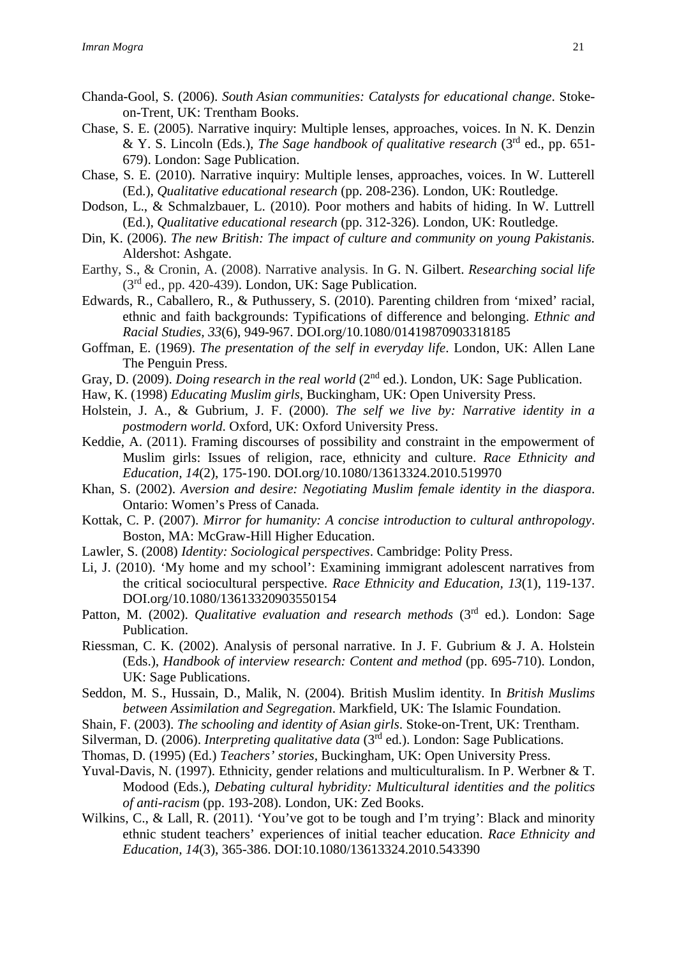- Chanda-Gool, S. (2006). *South Asian communities: Catalysts for educational change*. Stokeon-Trent, UK: Trentham Books.
- Chase, S. E. (2005). Narrative inquiry: Multiple lenses, approaches, voices. In N. K. Denzin & Y. S. Lincoln (Eds.), *The Sage handbook of qualitative research* (3rd ed., pp. 651- 679). London: Sage Publication.
- Chase, S. E. (2010). Narrative inquiry: Multiple lenses, approaches, voices. In W. Lutterell (Ed.), *Qualitative educational research* (pp. 208-236). London, UK: Routledge.
- Dodson, L., & Schmalzbauer, L. (2010). Poor mothers and habits of hiding. In W. Luttrell (Ed.), *Qualitative educational research* (pp. 312-326). London, UK: Routledge.
- Din, K. (2006). *The new British: The impact of culture and community on young Pakistanis.* Aldershot: Ashgate.
- Earthy, S., & Cronin, A. (2008). Narrative analysis. In G. N. Gilbert. *Researching social life*   $(3<sup>rd</sup>$  ed., pp. 420-439). London, UK: Sage Publication.
- Edwards, R., Caballero, R., & Puthussery, S. (2010). Parenting children from 'mixed' racial, ethnic and faith backgrounds: Typifications of difference and belonging. *Ethnic and Racial Studies, 33*(6), 949-967. DOI.org/10.1080/01419870903318185
- Goffman, E. (1969). *The presentation of the self in everyday life*. London, UK: Allen Lane The Penguin Press.
- Gray, D. (2009). *Doing research in the real world* (2<sup>nd</sup> ed.). London, UK: Sage Publication.
- Haw, K. (1998) *Educating Muslim girls*, Buckingham, UK: Open University Press.
- Holstein, J. A., & Gubrium, J. F. (2000). *The self we live by: Narrative identity in a postmodern world*. Oxford, UK: Oxford University Press.
- Keddie, A. (2011). Framing discourses of possibility and constraint in the empowerment of Muslim girls: Issues of religion, race, ethnicity and culture. *Race Ethnicity and Education, 14*(2), 175-190. DOI.org/10.1080/13613324.2010.519970
- Khan, S. (2002). *Aversion and desire: Negotiating Muslim female identity in the diaspora*. Ontario: Women's Press of Canada.
- Kottak, C. P. (2007). *Mirror for humanity: A concise introduction to cultural anthropology*. Boston, MA: McGraw-Hill Higher Education.
- Lawler, S. (2008) *Identity: Sociological perspectives*. Cambridge: Polity Press.
- Li, J. (2010). 'My home and my school': Examining immigrant adolescent narratives from the critical sociocultural perspective. *Race Ethnicity and Education, 13*(1), 119-137. DOI.org/10.1080/13613320903550154
- Patton, M. (2002). *Qualitative evaluation and research methods* (3<sup>rd</sup> ed.). London: Sage Publication.
- Riessman, C. K. (2002). Analysis of personal narrative. In J. F. Gubrium & J. A. Holstein (Eds.), *Handbook of interview research: Content and method* (pp. 695-710). London, UK: Sage Publications.
- Seddon, M. S., Hussain, D., Malik, N. (2004). British Muslim identity. In *British Muslims between Assimilation and Segregation*. Markfield, UK: The Islamic Foundation.
- Shain, F. (2003). *The schooling and identity of Asian girls*. Stoke-on-Trent, UK: Trentham.
- Silverman, D. (2006). *Interpreting qualitative data* (3<sup>rd</sup> ed.). London: Sage Publications.
- Thomas, D. (1995) (Ed.) *Teachers' stories*, Buckingham, UK: Open University Press.
- Yuval-Davis, N. (1997). Ethnicity, gender relations and multiculturalism. In P. Werbner & T. Modood (Eds.), *Debating cultural hybridity: Multicultural identities and the politics of anti-racism* (pp. 193-208). London, UK: Zed Books.
- Wilkins, C., & Lall, R. (2011). 'You've got to be tough and I'm trying': Black and minority ethnic student teachers' experiences of initial teacher education. *Race Ethnicity and Education, 14*(3), 365-386. DOI:10.1080/13613324.2010.543390